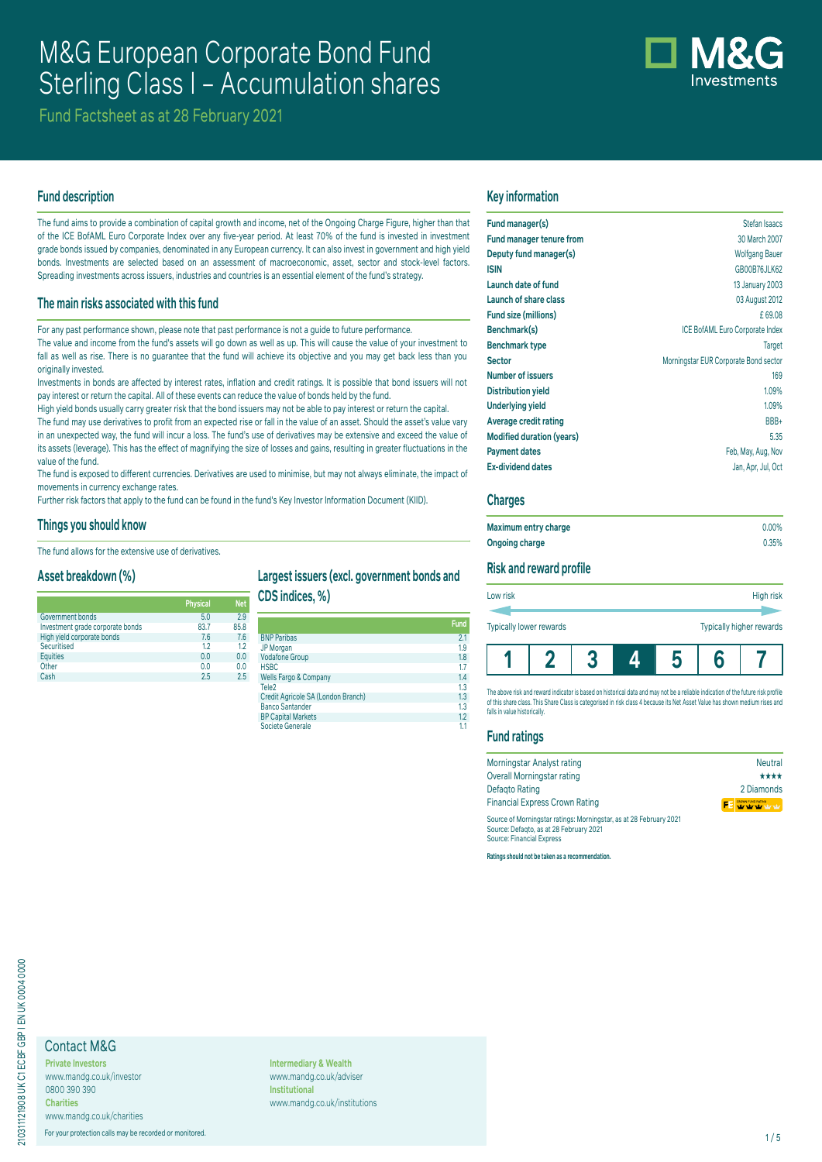# M&G European Corporate Bond Fund Sterling Class I – Accumulation shares

Fund Factsheet as at 28 February 2021

## **Fund description**

The fund aims to provide a combination of capital growth and income, net of the Ongoing Charge Figure, higher than that of the ICE BofAML Euro Corporate Index over any five-year period. At least 70% of the fund is invested in investment grade bonds issued by companies, denominated in any European currency. It can also invest in government and high yield bonds. Investments are selected based on an assessment of macroeconomic, asset, sector and stock-level factors. Spreading investments across issuers, industries and countries is an essential element of the fund's strategy.

#### **The main risks associated with this fund**

For any past performance shown, please note that past performance is not a guide to future performance.

The value and income from the fund's assets will go down as well as up. This will cause the value of your investment to fall as well as rise. There is no guarantee that the fund will achieve its objective and you may get back less than you originally invested.

Investments in bonds are affected by interest rates, inflation and credit ratings. It is possible that bond issuers will not pay interest or return the capital. All of these events can reduce the value of bonds held by the fund.

High yield bonds usually carry greater risk that the bond issuers may not be able to pay interest or return the capital. The fund may use derivatives to profit from an expected rise or fall in the value of an asset. Should the asset's value vary in an unexpected way, the fund will incur a loss. The fund's use of derivatives may be extensive and exceed the value of its assets (leverage). This has the effect of magnifying the size of losses and gains, resulting in greater fluctuations in the value of the fund.

The fund is exposed to different currencies. Derivatives are used to minimise, but may not always eliminate, the impact of movements in currency exchange rates.

Further risk factors that apply to the fund can be found in the fund's Key Investor Information Document (KIID).

#### **Things you should know**

The fund allows for the extensive use of derivatives.

#### **Asset breakdown (%)**

|                                  | <b>Physical</b> | <b>Net</b> |
|----------------------------------|-----------------|------------|
| Government bonds                 | 5.0             | 29         |
| Investment grade corporate bonds | 83.7            | 85.8       |
| High yield corporate bonds       | 7.6             | 7.6        |
| Securitised                      | 12              | 12         |
| <b>Equities</b>                  | 0.0             | 0.0        |
| Other                            | 0.0             | 0.0        |
| Cash                             | 2.5             | 25         |

# **Largest issuers (excl. government bonds and**

**CDS indices, %)**

| Fund<br><b>BNP Paribas</b><br>2.1<br>19<br><b>Vodafone Group</b><br>1.8<br><b>HSBC</b><br><b>Wells Fargo &amp; Company</b><br>1.4<br>Tele <sub>2</sub><br>1.3<br>1.3<br><b>Banco Santander</b><br>1.3<br><b>BP Capital Markets</b><br>1.2<br>Societe Generale |  |
|---------------------------------------------------------------------------------------------------------------------------------------------------------------------------------------------------------------------------------------------------------------|--|
| JP Morgan<br>Credit Agricole SA (London Branch)                                                                                                                                                                                                               |  |
|                                                                                                                                                                                                                                                               |  |
|                                                                                                                                                                                                                                                               |  |
|                                                                                                                                                                                                                                                               |  |
|                                                                                                                                                                                                                                                               |  |
|                                                                                                                                                                                                                                                               |  |
|                                                                                                                                                                                                                                                               |  |
|                                                                                                                                                                                                                                                               |  |
|                                                                                                                                                                                                                                                               |  |
|                                                                                                                                                                                                                                                               |  |
|                                                                                                                                                                                                                                                               |  |

# **Key information**

| Fund manager(s)                  | Stefan Isaacs                         |
|----------------------------------|---------------------------------------|
| <b>Fund manager tenure from</b>  | 30 March 2007                         |
| Deputy fund manager(s)           | <b>Wolfgang Bauer</b>                 |
| <b>ISIN</b>                      | GB00B76JLK62                          |
| Launch date of fund              | 13 January 2003                       |
| Launch of share class            | 03 August 2012                        |
| Fund size (millions)             | £69.08                                |
| Benchmark(s)                     | ICE BofAML Euro Corporate Index       |
| <b>Benchmark type</b>            | <b>Target</b>                         |
| <b>Sector</b>                    | Morningstar EUR Corporate Bond sector |
| <b>Number of issuers</b>         | 169                                   |
| <b>Distribution yield</b>        | 1.09%                                 |
| <b>Underlying yield</b>          | 1.09%                                 |
| Average credit rating            | BBB+                                  |
| <b>Modified duration (years)</b> | 5.35                                  |
| <b>Payment dates</b>             | Feb, May, Aug, Nov                    |
| <b>Ex-dividend dates</b>         | Jan, Apr, Jul, Oct                    |

#### **Charges**

| Maximum entry charge | $0.00\%$ |
|----------------------|----------|
| Ongoing charge       | 0.35%    |

# **Risk and reward profile**

| <b>Typically lower rewards</b> |  |              |   | Typically higher rewards |
|--------------------------------|--|--------------|---|--------------------------|
|                                |  | $\mathbf{D}$ | 6 |                          |

The above risk and reward indicator is based on historical data and may not be a reliable indication of the future risk profile of this share class. This Share Class is categorised in risk class 4 because its Net Asset Value has shown medium rises and falls in value historically.

# **Fund ratings**

| Morningstar Analyst rating                                                                                    | <b>Neutral</b>    |
|---------------------------------------------------------------------------------------------------------------|-------------------|
| <b>Overall Morningstar rating</b>                                                                             | ****              |
| Defagto Rating                                                                                                | 2 Diamonds        |
| <b>Financial Express Crown Rating</b>                                                                         | CROWN FUND RATING |
| Source of Morningstar ratings: Morningstar, as at 28 February 2021<br>Source: Defagto, as at 28 February 2021 |                   |

Source: Financial Express **Ratings should not be taken as a recommendation.**

# Contact M&G

**Private Investors** www.mandg.co.uk/investor 0800 390 390 **Charities**

www.mandg.co.uk/charities

For your protection calls may be recorded or monitored. 1/5

**Intermediary & Wealth** www.mandg.co.uk/adviser **Institutional** www.mandg.co.uk/institutions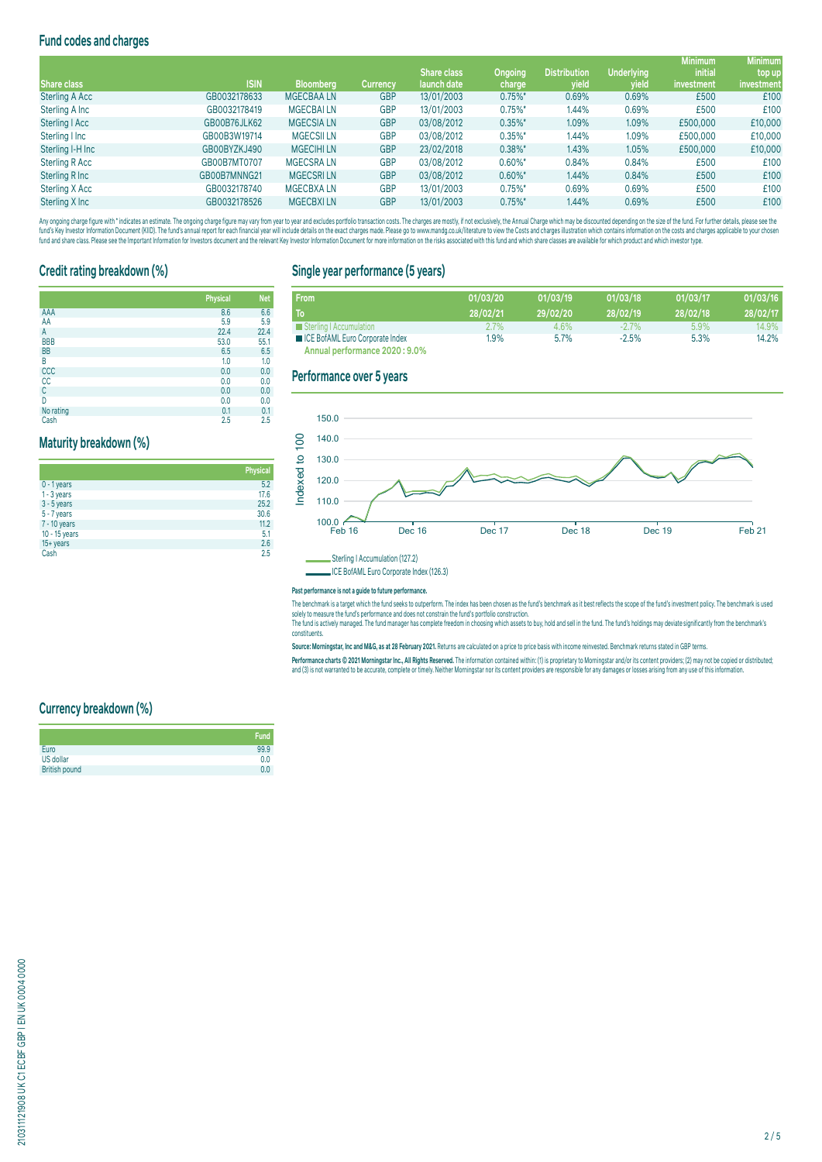# **Fund codes and charges**

|                       |              |                  |                 |                    |                |                     |                   | <b>Minimum</b> | <b>Minimum</b> |
|-----------------------|--------------|------------------|-----------------|--------------------|----------------|---------------------|-------------------|----------------|----------------|
|                       |              |                  |                 | <b>Share class</b> | <b>Ongoing</b> | <b>Distribution</b> | <b>Underlying</b> | <b>initial</b> | top up         |
| <b>Share class</b>    | <b>ISIN</b>  | <b>Bloomberg</b> | <b>Currency</b> | launch date        | charge         | yield               | yield             | investment     | investment     |
| <b>Sterling A Acc</b> | GB0032178633 | <b>MGECBAALN</b> | <b>GBP</b>      | 13/01/2003         | $0.75\%$ *     | 0.69%               | 0.69%             | £500           | £100           |
| Sterling A Inc        | GB0032178419 | <b>MGECBAILN</b> | <b>GBP</b>      | 13/01/2003         | $0.75\%$ *     | 1.44%               | 0.69%             | £500           | £100           |
| Sterling   Acc        | GB00B76JLK62 | <b>MGECSIALN</b> | <b>GBP</b>      | 03/08/2012         | $0.35\%$ *     | 1.09%               | 1.09%             | £500,000       | £10,000        |
| Sterling I Inc        | GB00B3W19714 | <b>MGECSILLN</b> | <b>GBP</b>      | 03/08/2012         | $0.35\%$ *     | 1.44%               | 1.09%             | £500,000       | £10,000        |
| Sterling I-H Inc      | GB00BYZKJ490 | <b>MGECIHILN</b> | <b>GBP</b>      | 23/02/2018         | $0.38\%$ *     | 1.43%               | 1.05%             | £500,000       | £10,000        |
| Sterling R Acc        | GB00B7MT0707 | <b>MGECSRALN</b> | <b>GBP</b>      | 03/08/2012         | $0.60\%$ *     | 0.84%               | 0.84%             | £500           | £100           |
| Sterling R Inc        | GB00B7MNNG21 | <b>MGECSRILN</b> | <b>GBP</b>      | 03/08/2012         | $0.60\%$ *     | 1.44%               | 0.84%             | £500           | £100           |
| Sterling X Acc        | GB0032178740 | <b>MGECBXALN</b> | <b>GBP</b>      | 13/01/2003         | $0.75\%$ *     | 0.69%               | 0.69%             | £500           | £100           |
| Sterling X Inc        | GB0032178526 | <b>MGECBXILN</b> | <b>GBP</b>      | 13/01/2003         | $0.75\%$ *     | 1.44%               | 0.69%             | £500           | £100           |
|                       |              |                  |                 |                    |                |                     |                   |                |                |

Any ongoing charge rigure with "inducates an estimate. The ongoing charge may vary from year to year and excludes portroill transaction costs. The charges are mostly, if not exclusively, the Annual Charge should nailly ens

# **Credit rating breakdown (%)**

|                  | <b>Physical</b> | <b>Net</b> |
|------------------|-----------------|------------|
| AAA              | 8.6             | 6.6        |
| AA               | 5.9             | 5.9        |
| Α                | 22.4            | 22.4       |
| <b>BBB</b>       | 53.0            | 55.1       |
| <b>BB</b>        | 6.5             | 6.5        |
| B                | 1.0             | 1.0        |
| $\frac{ccc}{cc}$ | 0.0             | 0.0        |
|                  | 0.0             | 0.0        |
| C                | 0.0             | 0.0        |
| D                | 0.0             | 0.0        |
| No rating        | 0.1             | 0.1        |
|                  |                 |            |

Cash 2.5 2.5

## **Maturity breakdown (%)**

|               | <b>Physical</b> |
|---------------|-----------------|
| $0 - 1$ years | 5.2             |
| $1 - 3$ years | 17.6            |
| $3 - 5$ years | 25.2            |
| 5 - 7 years   | 30.6            |
| 7 - 10 years  | 11.2            |
| 10 - 15 years | 5.1             |
| $15 + years$  | 2.6             |
| Cash          | 2.5             |

#### **Single year performance (5 years)**

| <b>From</b>                                     | 01/03/20 | 01/03/19 | 01/03/18 | 01/03/17 | 01/03/16 |
|-------------------------------------------------|----------|----------|----------|----------|----------|
| To                                              | 28/02/21 | 29/02/20 | 28/02/19 | 28/02/18 | 28/02/17 |
| Sterling   Accumulation                         | $2.7\%$  | $4.6\%$  | $-2.7\%$ | $5.9\%$  | 14.9%    |
| <b>EXECUTE:</b> ICE BofAML Euro Corporate Index | $1.9\%$  | 5.7%     | $-2.5%$  | 5.3%     | 14.2%    |
| Annual performance 2020 : 9.0%                  |          |          |          |          |          |

#### **Performance over 5 years**



ICE BofAML Euro Corporate Index (126.3)

#### **Past performance is not a guide to future performance.**

The benchmark is a target which the fund seeks to outperform. The index has been chosen as the fund's benchmark as it best reflects the scope of the fund's investment policy. The benchmark is used solely to measure the fund's performance and does not constrain the fund's portfolio construction. The fund is actively managed. The fund manager has complete freedom in choosing which assets to buy, hold and sell in the fund. The fund's holdings may deviate significantly from the benchmark's

constituents.

**Source: Morningstar, Inc and M&G, as at 28 February 2021.** Returns are calculated on a price to price basis with income reinvested. Benchmark returns stated in GBP terms.

rerrormance charts © ZUZ1 Morningstar inc., All Hights Reserved. The information contained within: () is proprietary to morningstar and/or its content providers; (2) may not be copied or distributed;<br>and (3) is not warrant

#### **Currency breakdown (%)**

| Fund           |
|----------------|
| 99.9           |
| 0.0            |
| 0 <sub>0</sub> |
|                |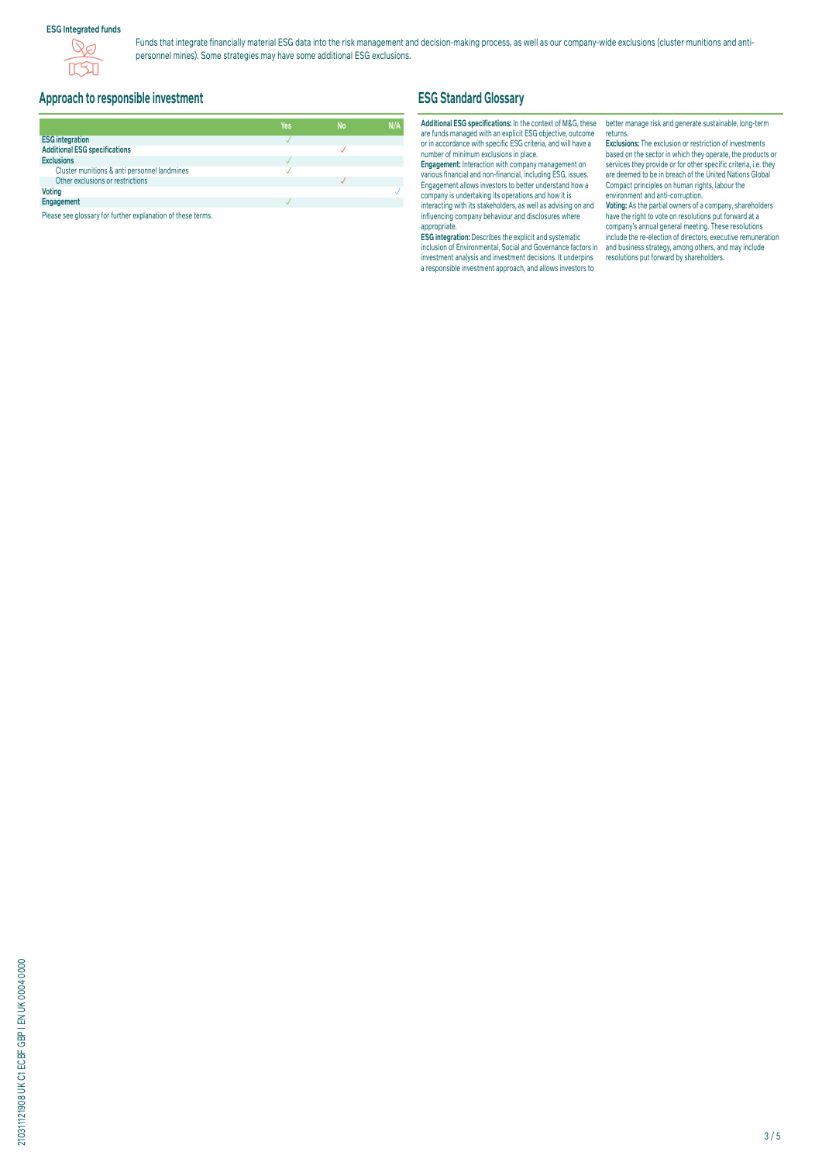#### **ESG Integrated funds**



Funds that integrate financially material ESG data into the risk management and decision-making process, as well as our company-wide exclusions (cluster munitions and antipersonnel mines). Some strategies may have some additional ESG exclusions.

# **Approach to responsible investment**

|                                              | Yes | <b>No</b> | N/A |
|----------------------------------------------|-----|-----------|-----|
| <b>ESG integration</b>                       |     |           |     |
| <b>Additional ESG specifications</b>         |     |           |     |
| <b>Exclusions</b>                            |     |           |     |
| Cluster munitions & anti personnel landmines |     |           |     |
| Other exclusions or restrictions             |     |           |     |
| <b>Voting</b>                                |     |           |     |
| Engagement                                   |     |           |     |

Please see glossary for further explanation of these terms.

# **ESG Standard Glossary**

#### **Additional ESG specifications:** In the context of M&G, these are funds managed with an explicit ESG objective, outcome or in accordance with specific ESG criteria, and will have a number of minimum exclusions in place.

**Engagement:** Interaction with company management on various financial and non-financial, including ESG, issues. Engagement allows investors to better understand how a company is undertaking its operations and how it is interacting with its stakeholders, as well as advising on and influencing company behaviour and disclosures where appropriate.

**ESG integration:** Describes the explicit and systematic inclusion of Environmental, Social and Governance factors in investment analysis and investment decisions. It underpins a responsible investment approach, and allows investors to

better manage risk and generate sustainable, long-term returns.

**Exclusions:** The exclusion or restriction of investments based on the sector in which they operate, the products or services they provide or for other specific criteria, i.e. they are deemed to be in breach of the United Nations Global Compact principles on human rights, labour the environment and anti-corruption.

**Voting:** As the partial owners of a company, shareholders have the right to vote on resolutions put forward at a company's annual general meeting. These resolutions include the re-election of directors, executive remuneration and business strategy, among others, and may include resolutions put forward by shareholders.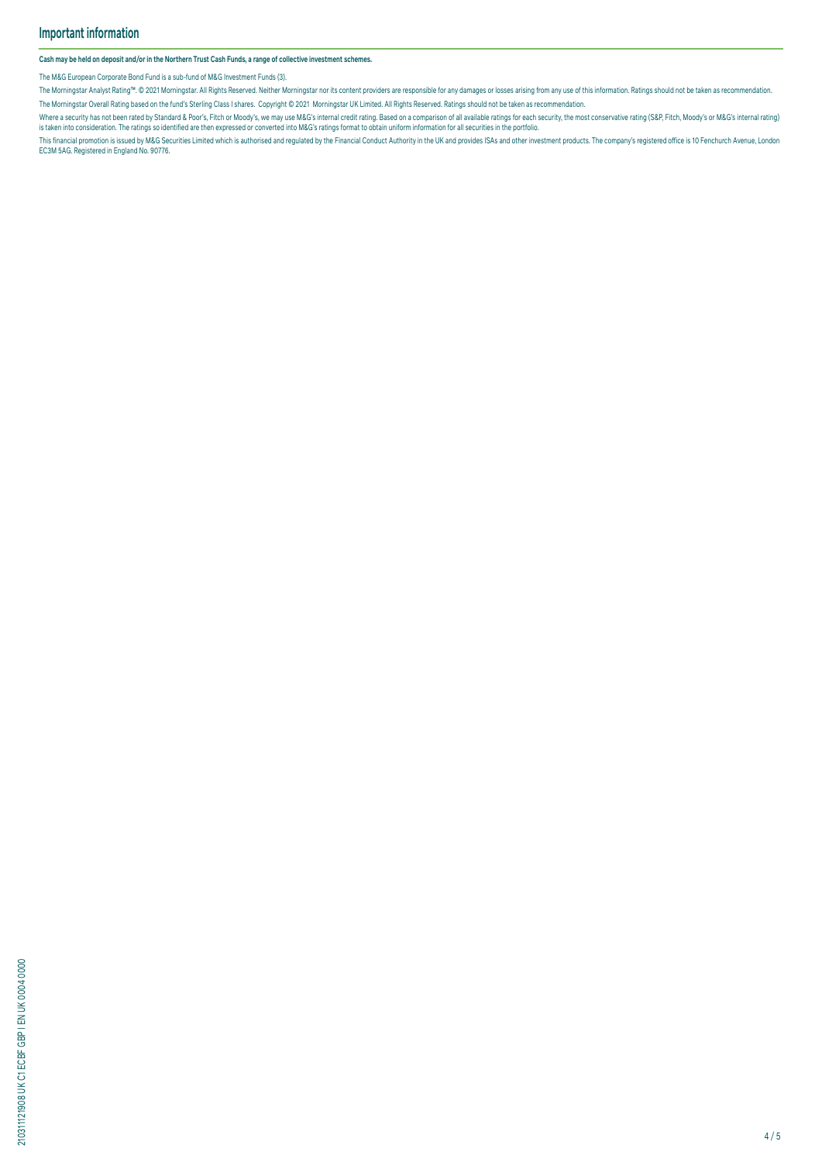**Cash may be held on deposit and/or in the Northern Trust Cash Funds, a range of collective investment schemes.**

The M&G European Corporate Bond Fund is a sub-fund of M&G Investment Funds (3).

The Morningstar Analyst Rating<sup>nu</sup>. © 2021 Morningstar. All Rights Reserved. Neither Morningstar nor its content providers are responsible for any damages or losses arising from any use of this information. Ratings should The Morningstar Overall Rating based on the fund's Sterling Class I shares. Copyright © 2021 Morningstar UK Limited. All Rights Reserved. Ratings should not be taken as recommendation.

where a security has not been rated by Standard & Poors, Hich or Moody's, we may use M&G's internal credit rating. Based on a comparison or all available ratings for each security, the most conservative rating (S&P, Fitch,

This financial promotion is issued by M&G Securities Limited which is authorised and regulated by the Financial Conduct Authority in the UK and provides ISAs and other investment products. The company's registered office i EC3M 5AG. Registered in England No. 90776.

210311121908 UK C1 ECBF GBP I EN UK 0004 0000 210311121908 UK C1 ECBF GBP I EN UK 0004 0000